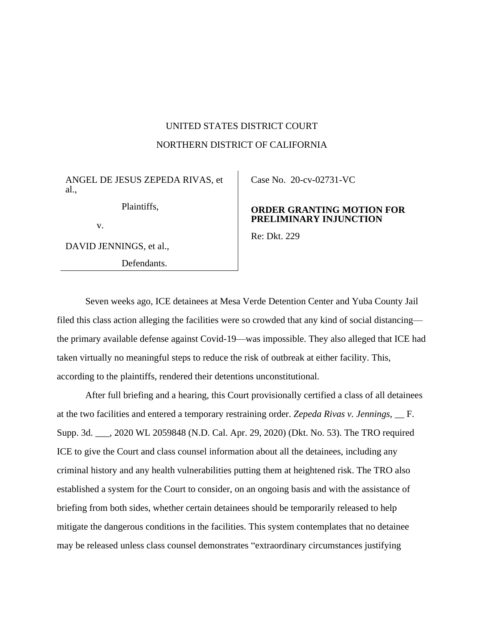# UNITED STATES DISTRICT COURT NORTHERN DISTRICT OF CALIFORNIA

ANGEL DE JESUS ZEPEDA RIVAS, et al.,

Plaintiffs,

v.

DAVID JENNINGS, et al.,

Defendants.

Case No. [20-cv-02731-VC](https://ecf.cand.uscourts.gov/cgi-bin/DktRpt.pl?358452) 

## **ORDER GRANTING MOTION FOR PRELIMINARY INJUNCTION**

Re: Dkt. 229

Seven weeks ago, ICE detainees at Mesa Verde Detention Center and Yuba County Jail filed this class action alleging the facilities were so crowded that any kind of social distancing the primary available defense against Covid-19—was impossible. They also alleged that ICE had taken virtually no meaningful steps to reduce the risk of outbreak at either facility. This, according to the plaintiffs, rendered their detentions unconstitutional.

After full briefing and a hearing, this Court provisionally certified a class of all detainees at the two facilities and entered a temporary restraining order. *Zepeda Rivas v. Jennings*, \_\_ F. Supp. 3d. \_\_\_, 2020 WL 2059848 (N.D. Cal. Apr. 29, 2020) (Dkt. No. 53). The TRO required ICE to give the Court and class counsel information about all the detainees, including any criminal history and any health vulnerabilities putting them at heightened risk. The TRO also established a system for the Court to consider, on an ongoing basis and with the assistance of briefing from both sides, whether certain detainees should be temporarily released to help mitigate the dangerous conditions in the facilities. This system contemplates that no detainee may be released unless class counsel demonstrates "extraordinary circumstances justifying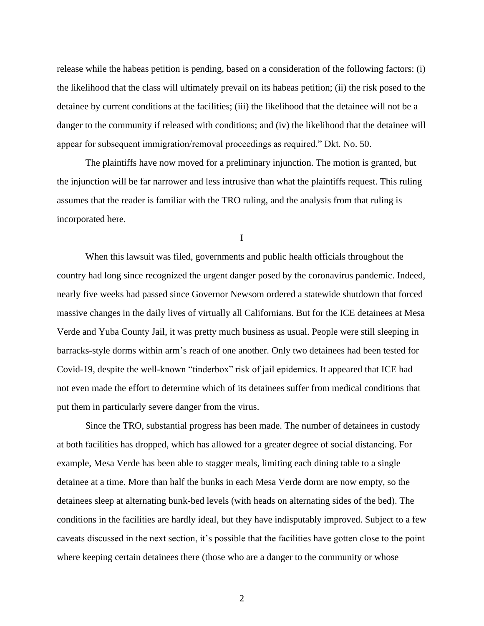release while the habeas petition is pending, based on a consideration of the following factors: (i) the likelihood that the class will ultimately prevail on its habeas petition; (ii) the risk posed to the detainee by current conditions at the facilities; (iii) the likelihood that the detainee will not be a danger to the community if released with conditions; and (iv) the likelihood that the detainee will appear for subsequent immigration/removal proceedings as required." Dkt. No. 50.

The plaintiffs have now moved for a preliminary injunction. The motion is granted, but the injunction will be far narrower and less intrusive than what the plaintiffs request. This ruling assumes that the reader is familiar with the TRO ruling, and the analysis from that ruling is incorporated here.

I

When this lawsuit was filed, governments and public health officials throughout the country had long since recognized the urgent danger posed by the coronavirus pandemic. Indeed, nearly five weeks had passed since Governor Newsom ordered a statewide shutdown that forced massive changes in the daily lives of virtually all Californians. But for the ICE detainees at Mesa Verde and Yuba County Jail, it was pretty much business as usual. People were still sleeping in barracks-style dorms within arm's reach of one another. Only two detainees had been tested for Covid-19, despite the well-known "tinderbox" risk of jail epidemics. It appeared that ICE had not even made the effort to determine which of its detainees suffer from medical conditions that put them in particularly severe danger from the virus.

Since the TRO, substantial progress has been made. The number of detainees in custody at both facilities has dropped, which has allowed for a greater degree of social distancing. For example, Mesa Verde has been able to stagger meals, limiting each dining table to a single detainee at a time. More than half the bunks in each Mesa Verde dorm are now empty, so the detainees sleep at alternating bunk-bed levels (with heads on alternating sides of the bed). The conditions in the facilities are hardly ideal, but they have indisputably improved. Subject to a few caveats discussed in the next section, it's possible that the facilities have gotten close to the point where keeping certain detainees there (those who are a danger to the community or whose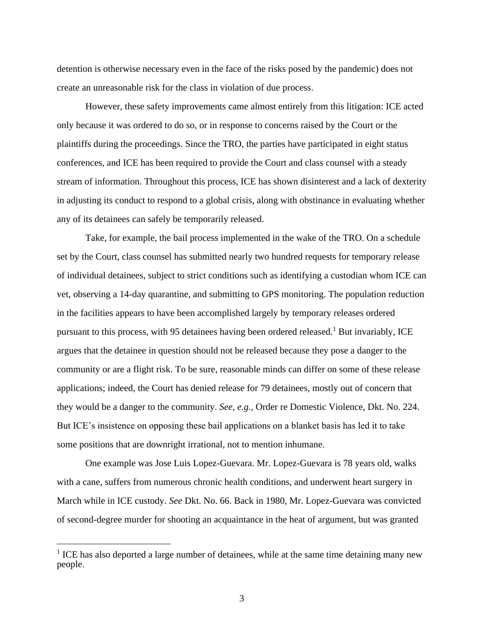detention is otherwise necessary even in the face of the risks posed by the pandemic) does not create an unreasonable risk for the class in violation of due process.

However, these safety improvements came almost entirely from this litigation: ICE acted only because it was ordered to do so, or in response to concerns raised by the Court or the plaintiffs during the proceedings. Since the TRO, the parties have participated in eight status conferences, and ICE has been required to provide the Court and class counsel with a steady stream of information. Throughout this process, ICE has shown disinterest and a lack of dexterity in adjusting its conduct to respond to a global crisis, along with obstinance in evaluating whether any of its detainees can safely be temporarily released.

Take, for example, the bail process implemented in the wake of the TRO. On a schedule set by the Court, class counsel has submitted nearly two hundred requests for temporary release of individual detainees, subject to strict conditions such as identifying a custodian whom ICE can vet, observing a 14-day quarantine, and submitting to GPS monitoring. The population reduction in the facilities appears to have been accomplished largely by temporary releases ordered pursuant to this process, with 95 detainees having been ordered released.<sup>1</sup> But invariably, ICE argues that the detainee in question should not be released because they pose a danger to the community or are a flight risk. To be sure, reasonable minds can differ on some of these release applications; indeed, the Court has denied release for 79 detainees, mostly out of concern that they would be a danger to the community. *See, e.g.*, Order re Domestic Violence, Dkt. No. 224. But ICE's insistence on opposing these bail applications on a blanket basis has led it to take some positions that are downright irrational, not to mention inhumane.

One example was Jose Luis Lopez-Guevara. Mr. Lopez-Guevara is 78 years old, walks with a cane, suffers from numerous chronic health conditions, and underwent heart surgery in March while in ICE custody. *See* Dkt. No. 66. Back in 1980, Mr. Lopez-Guevara was convicted of second-degree murder for shooting an acquaintance in the heat of argument, but was granted

<sup>&</sup>lt;sup>1</sup> ICE has also deported a large number of detainees, while at the same time detaining many new people.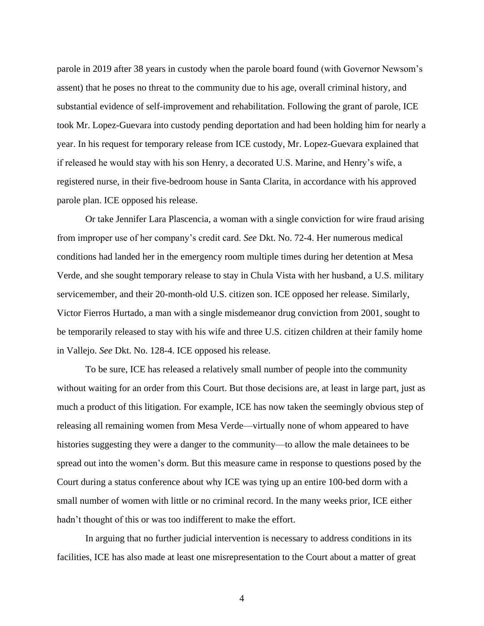parole in 2019 after 38 years in custody when the parole board found (with Governor Newsom's assent) that he poses no threat to the community due to his age, overall criminal history, and substantial evidence of self-improvement and rehabilitation. Following the grant of parole, ICE took Mr. Lopez-Guevara into custody pending deportation and had been holding him for nearly a year. In his request for temporary release from ICE custody, Mr. Lopez-Guevara explained that if released he would stay with his son Henry, a decorated U.S. Marine, and Henry's wife, a registered nurse, in their five-bedroom house in Santa Clarita, in accordance with his approved parole plan. ICE opposed his release.

Or take Jennifer Lara Plascencia, a woman with a single conviction for wire fraud arising from improper use of her company's credit card. *See* Dkt. No. 72-4. Her numerous medical conditions had landed her in the emergency room multiple times during her detention at Mesa Verde, and she sought temporary release to stay in Chula Vista with her husband, a U.S. military servicemember, and their 20-month-old U.S. citizen son. ICE opposed her release. Similarly, Victor Fierros Hurtado, a man with a single misdemeanor drug conviction from 2001, sought to be temporarily released to stay with his wife and three U.S. citizen children at their family home in Vallejo. *See* Dkt. No. 128-4. ICE opposed his release.

To be sure, ICE has released a relatively small number of people into the community without waiting for an order from this Court. But those decisions are, at least in large part, just as much a product of this litigation. For example, ICE has now taken the seemingly obvious step of releasing all remaining women from Mesa Verde—virtually none of whom appeared to have histories suggesting they were a danger to the community—to allow the male detainees to be spread out into the women's dorm. But this measure came in response to questions posed by the Court during a status conference about why ICE was tying up an entire 100-bed dorm with a small number of women with little or no criminal record. In the many weeks prior, ICE either hadn't thought of this or was too indifferent to make the effort.

In arguing that no further judicial intervention is necessary to address conditions in its facilities, ICE has also made at least one misrepresentation to the Court about a matter of great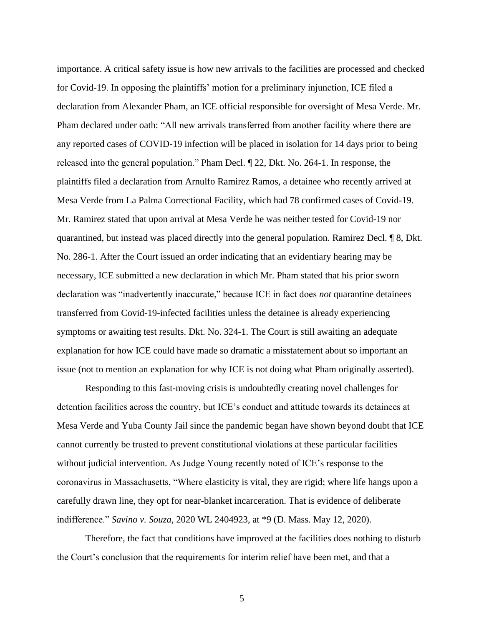importance. A critical safety issue is how new arrivals to the facilities are processed and checked for Covid-19. In opposing the plaintiffs' motion for a preliminary injunction, ICE filed a declaration from Alexander Pham, an ICE official responsible for oversight of Mesa Verde. Mr. Pham declared under oath: "All new arrivals transferred from another facility where there are any reported cases of COVID-19 infection will be placed in isolation for 14 days prior to being released into the general population." Pham Decl. ¶ 22, Dkt. No. 264-1. In response, the plaintiffs filed a declaration from Arnulfo Ramirez Ramos, a detainee who recently arrived at Mesa Verde from La Palma Correctional Facility, which had 78 confirmed cases of Covid-19. Mr. Ramirez stated that upon arrival at Mesa Verde he was neither tested for Covid-19 nor quarantined, but instead was placed directly into the general population. Ramirez Decl. ¶ 8, Dkt. No. 286-1. After the Court issued an order indicating that an evidentiary hearing may be necessary, ICE submitted a new declaration in which Mr. Pham stated that his prior sworn declaration was "inadvertently inaccurate," because ICE in fact does *not* quarantine detainees transferred from Covid-19-infected facilities unless the detainee is already experiencing symptoms or awaiting test results. Dkt. No. 324-1. The Court is still awaiting an adequate explanation for how ICE could have made so dramatic a misstatement about so important an issue (not to mention an explanation for why ICE is not doing what Pham originally asserted).

Responding to this fast-moving crisis is undoubtedly creating novel challenges for detention facilities across the country, but ICE's conduct and attitude towards its detainees at Mesa Verde and Yuba County Jail since the pandemic began have shown beyond doubt that ICE cannot currently be trusted to prevent constitutional violations at these particular facilities without judicial intervention. As Judge Young recently noted of ICE's response to the coronavirus in Massachusetts, "Where elasticity is vital, they are rigid; where life hangs upon a carefully drawn line, they opt for near-blanket incarceration. That is evidence of deliberate indifference." *Savino v. Souza*, 2020 WL 2404923, at \*9 (D. Mass. May 12, 2020).

Therefore, the fact that conditions have improved at the facilities does nothing to disturb the Court's conclusion that the requirements for interim relief have been met, and that a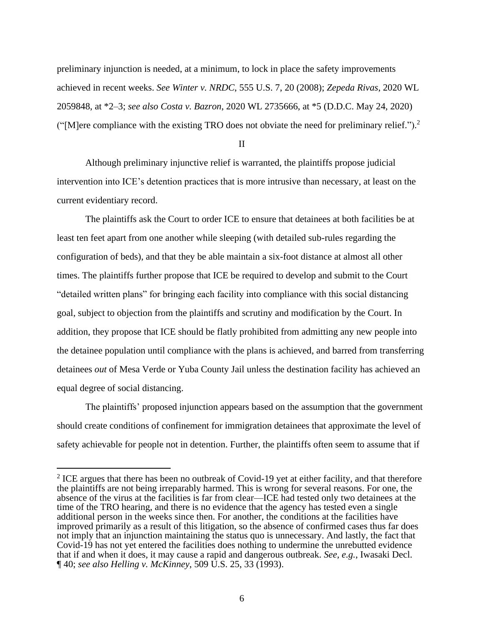preliminary injunction is needed, at a minimum, to lock in place the safety improvements achieved in recent weeks. *See Winter v. NRDC*, 555 U.S. 7, 20 (2008); *Zepeda Rivas*, 2020 WL 2059848, at \*2–3; *see also Costa v. Bazron*, 2020 WL 2735666, at \*5 (D.D.C. May 24, 2020) ("[M]ere compliance with the existing TRO does not obviate the need for preliminary relief.").<sup>2</sup>

II

Although preliminary injunctive relief is warranted, the plaintiffs propose judicial intervention into ICE's detention practices that is more intrusive than necessary, at least on the current evidentiary record.

The plaintiffs ask the Court to order ICE to ensure that detainees at both facilities be at least ten feet apart from one another while sleeping (with detailed sub-rules regarding the configuration of beds), and that they be able maintain a six-foot distance at almost all other times. The plaintiffs further propose that ICE be required to develop and submit to the Court "detailed written plans" for bringing each facility into compliance with this social distancing goal, subject to objection from the plaintiffs and scrutiny and modification by the Court. In addition, they propose that ICE should be flatly prohibited from admitting any new people into the detainee population until compliance with the plans is achieved, and barred from transferring detainees *out* of Mesa Verde or Yuba County Jail unless the destination facility has achieved an equal degree of social distancing.

The plaintiffs' proposed injunction appears based on the assumption that the government should create conditions of confinement for immigration detainees that approximate the level of safety achievable for people not in detention. Further, the plaintiffs often seem to assume that if

 $2$  ICE argues that there has been no outbreak of Covid-19 yet at either facility, and that therefore the plaintiffs are not being irreparably harmed. This is wrong for several reasons. For one, the absence of the virus at the facilities is far from clear—ICE had tested only two detainees at the time of the TRO hearing, and there is no evidence that the agency has tested even a single additional person in the weeks since then. For another, the conditions at the facilities have improved primarily as a result of this litigation, so the absence of confirmed cases thus far does not imply that an injunction maintaining the status quo is unnecessary. And lastly, the fact that Covid-19 has not yet entered the facilities does nothing to undermine the unrebutted evidence that if and when it does, it may cause a rapid and dangerous outbreak. *See, e.g.*, Iwasaki Decl. ¶ 40; *see also Helling v. McKinney*, 509 U.S. 25, 33 (1993).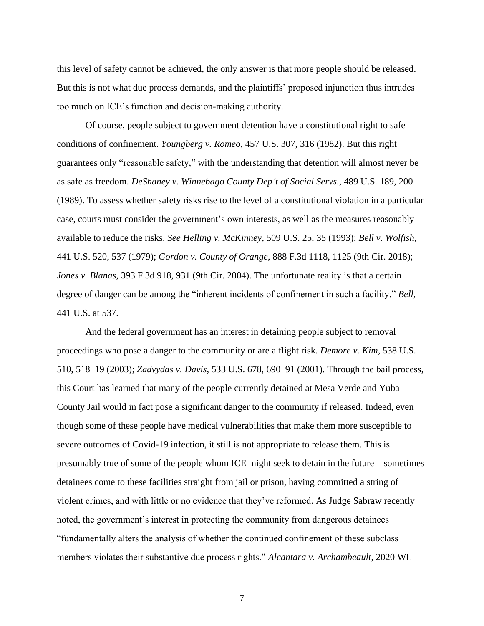this level of safety cannot be achieved, the only answer is that more people should be released. But this is not what due process demands, and the plaintiffs' proposed injunction thus intrudes too much on ICE's function and decision-making authority.

Of course, people subject to government detention have a constitutional right to safe conditions of confinement. *Youngberg v. Romeo*, 457 U.S. 307, 316 (1982). But this right guarantees only "reasonable safety," with the understanding that detention will almost never be as safe as freedom. *DeShaney v. Winnebago County Dep't of Social Servs.*, 489 U.S. 189, 200 (1989). To assess whether safety risks rise to the level of a constitutional violation in a particular case, courts must consider the government's own interests, as well as the measures reasonably available to reduce the risks. *See Helling v. McKinney*, 509 U.S. 25, 35 (1993); *Bell v. Wolfish*, 441 U.S. 520, 537 (1979); *Gordon v. County of Orange*, 888 F.3d 1118, 1125 (9th Cir. 2018); *Jones v. Blanas*, 393 F.3d 918, 931 (9th Cir. 2004). The unfortunate reality is that a certain degree of danger can be among the "inherent incidents of confinement in such a facility." *Bell*, 441 U.S. at 537.

And the federal government has an interest in detaining people subject to removal proceedings who pose a danger to the community or are a flight risk. *Demore v. Kim*, 538 U.S. 510, 518–19 (2003); *Zadvydas v. Davis*, 533 U.S. 678, 690–91 (2001). Through the bail process, this Court has learned that many of the people currently detained at Mesa Verde and Yuba County Jail would in fact pose a significant danger to the community if released. Indeed, even though some of these people have medical vulnerabilities that make them more susceptible to severe outcomes of Covid-19 infection, it still is not appropriate to release them. This is presumably true of some of the people whom ICE might seek to detain in the future—sometimes detainees come to these facilities straight from jail or prison, having committed a string of violent crimes, and with little or no evidence that they've reformed. As Judge Sabraw recently noted, the government's interest in protecting the community from dangerous detainees "fundamentally alters the analysis of whether the continued confinement of these subclass members violates their substantive due process rights." *Alcantara v. Archambeault*, 2020 WL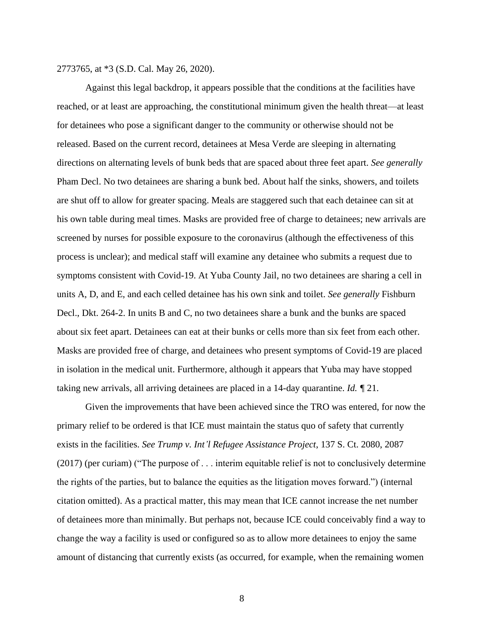2773765, at \*3 (S.D. Cal. May 26, 2020).

Against this legal backdrop, it appears possible that the conditions at the facilities have reached, or at least are approaching, the constitutional minimum given the health threat—at least for detainees who pose a significant danger to the community or otherwise should not be released. Based on the current record, detainees at Mesa Verde are sleeping in alternating directions on alternating levels of bunk beds that are spaced about three feet apart. *See generally*  Pham Decl. No two detainees are sharing a bunk bed. About half the sinks, showers, and toilets are shut off to allow for greater spacing. Meals are staggered such that each detainee can sit at his own table during meal times. Masks are provided free of charge to detainees; new arrivals are screened by nurses for possible exposure to the coronavirus (although the effectiveness of this process is unclear); and medical staff will examine any detainee who submits a request due to symptoms consistent with Covid-19. At Yuba County Jail, no two detainees are sharing a cell in units A, D, and E, and each celled detainee has his own sink and toilet. *See generally* Fishburn Decl., Dkt. 264-2. In units B and C, no two detainees share a bunk and the bunks are spaced about six feet apart. Detainees can eat at their bunks or cells more than six feet from each other. Masks are provided free of charge, and detainees who present symptoms of Covid-19 are placed in isolation in the medical unit. Furthermore, although it appears that Yuba may have stopped taking new arrivals, all arriving detainees are placed in a 14-day quarantine. *Id. ¶* 21.

Given the improvements that have been achieved since the TRO was entered, for now the primary relief to be ordered is that ICE must maintain the status quo of safety that currently exists in the facilities. *See Trump v. Int'l Refugee Assistance Project*, 137 S. Ct. 2080, 2087 (2017) (per curiam) ("The purpose of . . . interim equitable relief is not to conclusively determine the rights of the parties, but to balance the equities as the litigation moves forward.") (internal citation omitted). As a practical matter, this may mean that ICE cannot increase the net number of detainees more than minimally. But perhaps not, because ICE could conceivably find a way to change the way a facility is used or configured so as to allow more detainees to enjoy the same amount of distancing that currently exists (as occurred, for example, when the remaining women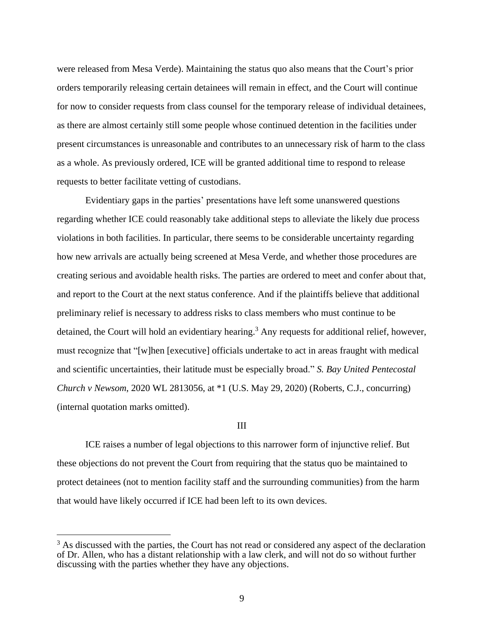were released from Mesa Verde). Maintaining the status quo also means that the Court's prior orders temporarily releasing certain detainees will remain in effect, and the Court will continue for now to consider requests from class counsel for the temporary release of individual detainees, as there are almost certainly still some people whose continued detention in the facilities under present circumstances is unreasonable and contributes to an unnecessary risk of harm to the class as a whole. As previously ordered, ICE will be granted additional time to respond to release requests to better facilitate vetting of custodians.

Evidentiary gaps in the parties' presentations have left some unanswered questions regarding whether ICE could reasonably take additional steps to alleviate the likely due process violations in both facilities. In particular, there seems to be considerable uncertainty regarding how new arrivals are actually being screened at Mesa Verde, and whether those procedures are creating serious and avoidable health risks. The parties are ordered to meet and confer about that, and report to the Court at the next status conference. And if the plaintiffs believe that additional preliminary relief is necessary to address risks to class members who must continue to be detained, the Court will hold an evidentiary hearing.<sup>3</sup> Any requests for additional relief, however, must recognize that "[w]hen [executive] officials undertake to act in areas fraught with medical and scientific uncertainties, their latitude must be especially broad." *S. Bay United Pentecostal Church v Newsom*, 2020 WL 2813056, at \*1 (U.S. May 29, 2020) (Roberts, C.J., concurring) (internal quotation marks omitted).

#### III

ICE raises a number of legal objections to this narrower form of injunctive relief. But these objections do not prevent the Court from requiring that the status quo be maintained to protect detainees (not to mention facility staff and the surrounding communities) from the harm that would have likely occurred if ICE had been left to its own devices.

<sup>&</sup>lt;sup>3</sup> As discussed with the parties, the Court has not read or considered any aspect of the declaration of Dr. Allen, who has a distant relationship with a law clerk, and will not do so without further discussing with the parties whether they have any objections.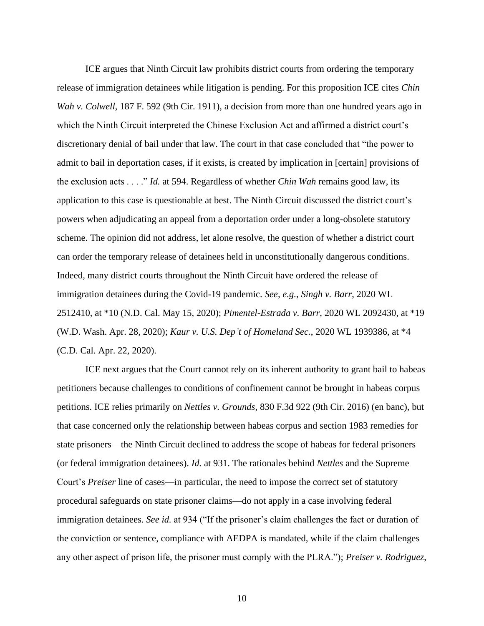ICE argues that Ninth Circuit law prohibits district courts from ordering the temporary release of immigration detainees while litigation is pending. For this proposition ICE cites *Chin Wah v. Colwell*, 187 F. 592 (9th Cir. 1911), a decision from more than one hundred years ago in which the Ninth Circuit interpreted the Chinese Exclusion Act and affirmed a district court's discretionary denial of bail under that law. The court in that case concluded that "the power to admit to bail in deportation cases, if it exists, is created by implication in [certain] provisions of the exclusion acts . . . ." *Id.* at 594. Regardless of whether *Chin Wah* remains good law, its application to this case is questionable at best. The Ninth Circuit discussed the district court's powers when adjudicating an appeal from a deportation order under a long-obsolete statutory scheme. The opinion did not address, let alone resolve, the question of whether a district court can order the temporary release of detainees held in unconstitutionally dangerous conditions. Indeed, many district courts throughout the Ninth Circuit have ordered the release of immigration detainees during the Covid-19 pandemic. *See, e.g.*, *Singh v. Barr*, 2020 WL 2512410, at \*10 (N.D. Cal. May 15, 2020); *Pimentel-Estrada v. Barr*, 2020 WL 2092430, at \*19 (W.D. Wash. Apr. 28, 2020); *Kaur v. U.S. Dep't of Homeland Sec.*, 2020 WL 1939386, at \*4 (C.D. Cal. Apr. 22, 2020).

ICE next argues that the Court cannot rely on its inherent authority to grant bail to habeas petitioners because challenges to conditions of confinement cannot be brought in habeas corpus petitions. ICE relies primarily on *Nettles v. Grounds*, 830 F.3d 922 (9th Cir. 2016) (en banc), but that case concerned only the relationship between habeas corpus and section 1983 remedies for state prisoners—the Ninth Circuit declined to address the scope of habeas for federal prisoners (or federal immigration detainees). *Id.* at 931. The rationales behind *Nettles* and the Supreme Court's *Preiser* line of cases—in particular, the need to impose the correct set of statutory procedural safeguards on state prisoner claims—do not apply in a case involving federal immigration detainees. *See id.* at 934 ("If the prisoner's claim challenges the fact or duration of the conviction or sentence, compliance with AEDPA is mandated, while if the claim challenges any other aspect of prison life, the prisoner must comply with the PLRA."); *Preiser v. Rodriguez*,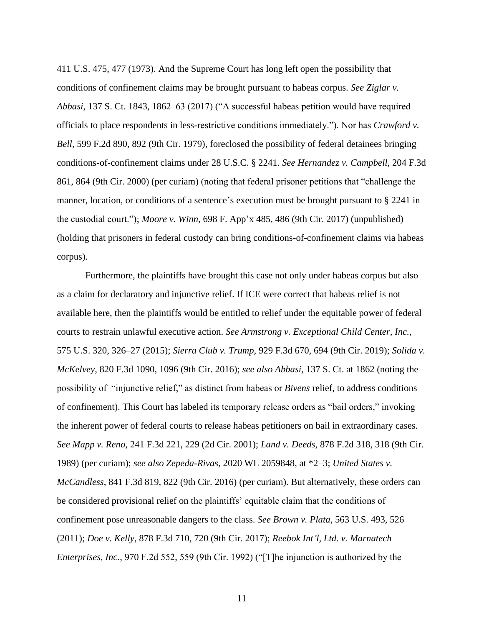411 U.S. 475, 477 (1973). And the Supreme Court has long left open the possibility that conditions of confinement claims may be brought pursuant to habeas corpus. *See Ziglar v. Abbasi*, 137 S. Ct. 1843, 1862–63 (2017) ("A successful habeas petition would have required officials to place respondents in less-restrictive conditions immediately."). Nor has *Crawford v. Bell*, 599 F.2d 890, 892 (9th Cir. 1979), foreclosed the possibility of federal detainees bringing conditions-of-confinement claims under 28 U.S.C. § 2241. *See Hernandez v. Campbell*, 204 F.3d 861, 864 (9th Cir. 2000) (per curiam) (noting that federal prisoner petitions that "challenge the manner, location, or conditions of a sentence's execution must be brought pursuant to § 2241 in the custodial court."); *Moore v. Winn*, 698 F. App'x 485, 486 (9th Cir. 2017) (unpublished) (holding that prisoners in federal custody can bring conditions-of-confinement claims via habeas corpus).

Furthermore, the plaintiffs have brought this case not only under habeas corpus but also as a claim for declaratory and injunctive relief. If ICE were correct that habeas relief is not available here, then the plaintiffs would be entitled to relief under the equitable power of federal courts to restrain unlawful executive action. *See Armstrong v. Exceptional Child Center, Inc.*, 575 U.S. 320, 326–27 (2015); *Sierra Club v. Trump*, 929 F.3d 670, 694 (9th Cir. 2019); *Solida v. McKelvey*, 820 F.3d 1090, 1096 (9th Cir. 2016); *see also Abbasi*, 137 S. Ct. at 1862 (noting the possibility of "injunctive relief," as distinct from habeas or *Bivens* relief, to address conditions of confinement). This Court has labeled its temporary release orders as "bail orders," invoking the inherent power of federal courts to release habeas petitioners on bail in extraordinary cases. *See Mapp v. Reno*, 241 F.3d 221, 229 (2d Cir. 2001); *Land v. Deeds*, 878 F.2d 318, 318 (9th Cir. 1989) (per curiam); *see also Zepeda-Rivas*, 2020 WL 2059848, at \*2–3; *United States v. McCandless*, 841 F.3d 819, 822 (9th Cir. 2016) (per curiam). But alternatively, these orders can be considered provisional relief on the plaintiffs' equitable claim that the conditions of confinement pose unreasonable dangers to the class. *See Brown v. Plata*, 563 U.S. 493, 526 (2011); *Doe v. Kelly*, 878 F.3d 710, 720 (9th Cir. 2017); *Reebok Int'l, Ltd. v. Marnatech Enterprises, Inc.*, 970 F.2d 552, 559 (9th Cir. 1992) ("[T]he injunction is authorized by the